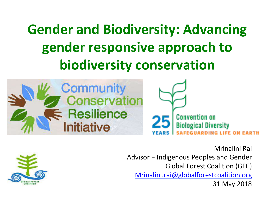# **Gender and Biodiversity: Advancing** gender responsive approach to **biodiversity conservation**







Mrinalini Rai Advisor – Indigenous Peoples and Gender Global Forest Coalition (GFC) Mrinalini.rai@globalforestcoalition.org 31 May 2018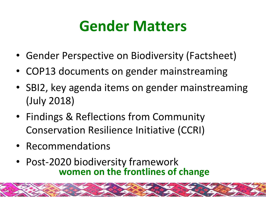# **Gender Matters**

- Gender Perspective on Biodiversity (Factsheet)
- COP13 documents on gender mainstreaming
- SBI2, key agenda items on gender mainstreaming (July 2018)
- Findings & Reflections from Community Conservation Resilience Initiative (CCRI)
- Recommendations
- Post-2020 biodiversity framework **women on the frontlines of change**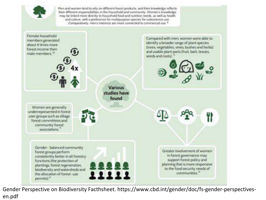

Gender Perspective on Biodiversity Facthsheet. https://www.cbd.int/gender/doc/fs-gender-perspectivesen.pdf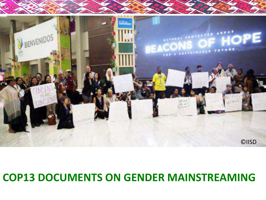

#### **COP13 DOCUMENTS ON GENDER MAINSTREAMING**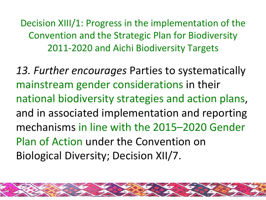Decision XIII/1: Progress in the implementation of the Convention and the Strategic Plan for Biodiversity 2011-2020 and Aichi Biodiversity Targets

13. Further encourages Parties to systematically mainstream gender considerations in their national biodiversity strategies and action plans, and in associated implementation and reporting mechanisms in line with the 2015–2020 Gender Plan of Action under the Convention on Biological Diversity; Decision XII/7.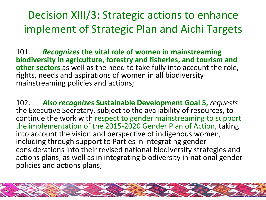Decision XIII/3: Strategic actions to enhance implement of Strategic Plan and Aichi Targets

101. **Recognizes the vital role of women in mainstreaming biodiversity in agriculture, forestry and fisheries, and tourism and other sectors** as well as the need to take fully into account the role, rights, needs and aspirations of women in all biodiversity mainstreaming policies and actions;

102. **Also recognizes Sustainable Development Goal 5, requests** the Executive Secretary, subject to the availability of resources, to continue the work with respect to gender mainstreaming to support the implementation of the 2015-2020 Gender Plan of Action, taking into account the vision and perspective of indigenous women, including through support to Parties in integrating gender considerations into their revised national biodiversity strategies and actions plans, as well as in integrating biodiversity in national gender policies and actions plans;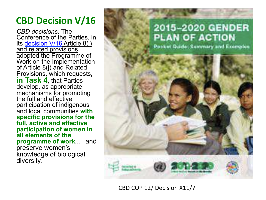#### **CBD Decision V/16**

*CBD decisions:* The Conference of the Parties, in its decision V/16 Article 8(j) and related provisions, adopted the Programme of Work on the Implementation of Article 8(j) and Related Provisions, which requests**, in Task 4,** that Parties develop, as appropriate, mechanisms for promoting the full and effective participation of indigenous and local communities **with specific provisions for the full, active and effective participation of women in all elements of the programme of work……**and preserve women's knowledge of biological diversity.



CBD COP 12/ Decision X11/7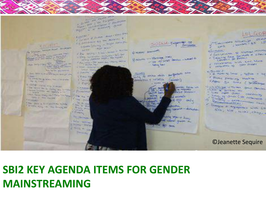

### **SBI2 KEY AGENDA ITEMS FOR GENDER MAINSTREAMING**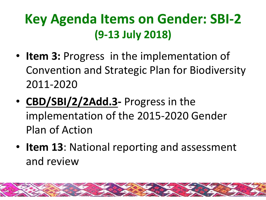### **Key Agenda Items on Gender: SBI-2 (9-13 July 2018)**

- Item 3: Progress in the implementation of Convention and Strategic Plan for Biodiversity 2011-2020
- **CBD/SBI/2/2Add.3-** Progress in the implementation of the 2015-2020 Gender Plan of Action
- **Item 13**: National reporting and assessment and review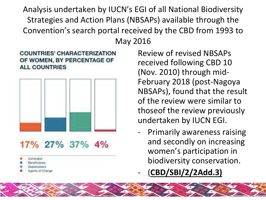Analysis undertaken by IUCN's EGI of all National Biodiversity Strategies and Action Plans (NBSAPs) available through the Convention's search portal received by the CBD from 1993 to May 2016 





17% 27% 37% 4%

- Authorable
- 
- 
- ents of Charige

Review of revised NBSAPs received following CBD 10 (Nov. 2010) through mid-February 2018 (post-Nagoya NBSAPs), found that the result of the review were similar to those of the review previously undertaken by IUCN EGI.

- Primarily awareness raising and secondly on increasing women's participation in biodiversity conservation.
- (**CBD/SBI/2/2Add.3)**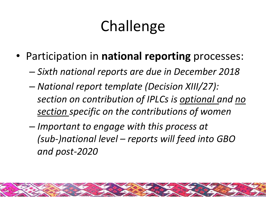# Challenge

- Participation in national reporting processes:
	- *Sixth national reports are due in December 2018*
	- $-$  *National report template (Decision XIII/27):* section on contribution of IPLCs is optional and no *section specific on the contributions of women*
	- $-$  *Important to engage with this process at (sub-)national level – reports will feed into GBO and post-2020*

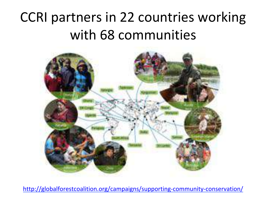### CCRI partners in 22 countries working with 68 communities



http://globalforestcoalition.org/campaigns/supporting-community-conservation/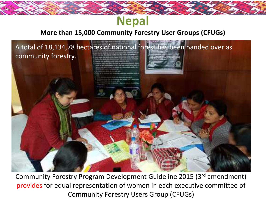### **Nepal**

#### **More than 15,000 Community Forestry User Groups (CFUGs)**



Community Forestry Program Development Guideline 2015 (3rd amendment) provides for equal representation of women in each executive committee of Community Forestry Users Group (CFUGs)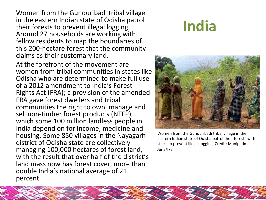Women from the Gunduribadi tribal village in the eastern Indian state of Odisha patrol their forests to prevent illegal logging. Around 27 households are working with fellow residents to map the boundaries of this 200-hectare forest that the community claims as their customary land.

At the forefront of the movement are women from tribal communities in states like Odisha who are determined to make full use of a 2012 amendment to India's Forest Rights Act (FRA); a provision of the amended FRA gave forest dwellers and tribal communities the right to own, manage and sell non-timber forest products (NTFP), which some 100 million landless people in India depend on for income, medicine and housing. Some 850 villages in the Nayagarh district of Odisha state are collectively managing 100,000 hectares of forest land, with the result that over half of the district's land mass now has forest cover, more than double India's national average of 21 percent. 

### **India**



Women from the Gunduribadi tribal village in the eastern Indian state of Odisha patrol their forests with sticks to prevent illegal logging. Credit: Manipadma Jena/IPS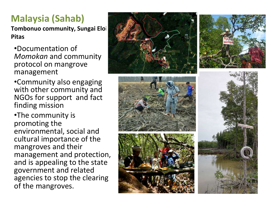#### **Malaysia (Sahab)**

**Tombonuo community, Sungai Eloi Pitas**

•Documentation of **Momokan** and community protocol on mangrove management 

•Community also engaging with other community and NGOs for support and fact finding mission

•The community is promoting the environmental, social and cultural importance of the mangroves and their management and protection, and is appealing to the state government and related agencies to stop the clearing of the mangroves.

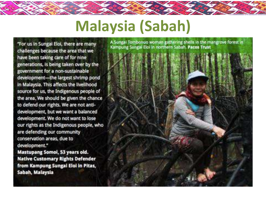# **Malaysia (Sabah)**

"For us in Sungai Eloi, there are many challenges because the area that we have been taking care of for nine generations, is being taken over by the government for a non-sustainable development--- the largest shrimp pond in Malaysia. This affects the livelihood source for us, the Indigenous people of the area. We should be given the chance to defend our rights. We are not antidevelopment, but we want a balanced development. We do not want to lose our rights as the Indigenous people, who are defending our community conservation areas, due to development." Mastupang Somol, 53 years old.

**Native Customary Rights Defender** from Kampung Sungai Eloi in Pitas, Sabah, Malaysia

A Sungai Tombonuo woman gathering shells in the mangrove forest in Kampung Sungai Eloi in northern Sabah. Pacos Trust

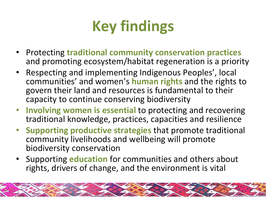

- **Protecting traditional community conservation practices** and promoting ecosystem/habitat regeneration is a priority
- Respecting and implementing Indigenous Peoples', local communities' and women's **human rights** and the rights to govern their land and resources is fundamental to their capacity to continue conserving biodiversity
- Involving women is essential to protecting and recovering traditional knowledge, practices, capacities and resilience
- **Supporting productive strategies that promote traditional** community livelihoods and wellbeing will promote biodiversity conservation
- Supporting **education** for communities and others about rights, drivers of change, and the environment is vital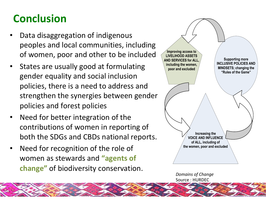### **Conclusion**

- Data disaggregation of indigenous peoples and local communities, including of women, poor and other to be included
- States are usually good at formulating gender equality and social inclusion policies, there is a need to address and strengthen the synergies between gender policies and forest policies
- Need for better integration of the contributions of women in reporting of both the SDGs and CBDs national reports.
- Need for recognition of the role of women as stewards and "agents of **change"** of biodiversity conservation.



*Domains of Change* Source : HURDEC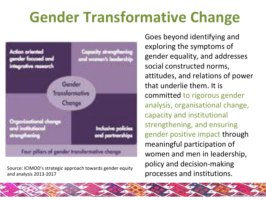# **Gender Transformative Change**



Source: ICIMOD's strategic approach towards gender equity **FULL POILS** and institutions. and analysis 2013-2017

Goes beyond identifying and exploring the symptoms of gender equality, and addresses social constructed norms, attitudes, and relations of power that underlie them. It is committed to rigorous gender analysis, organisational change, capacity and institutional strengthening, and ensuring gender positive impact through meaningful participation of women and men in leadership, policy and decision-making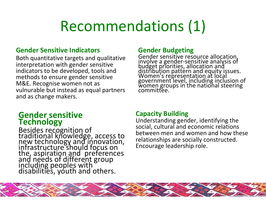## Recommendations (1)

#### **Gender Sensitive Indicators**

Both quantitative targets and qualitative interpretation with gender sensitive indicators to be developed, tools and methods to ensure gender sensitive M&E. Recognise women not as vulnurable but instead as equal partners and as change makers.

#### **Gender sensitive Technology**

Besides recognition of Econfice reformation of access to new technology and innovation, infrastructure should focus on the, aspiration and preferences and needs of different group including peoples with disabilities, youth and others.

#### **Gender Budgeting**

Gender sensitive resource allocation, involve a gender-sensitive analysis of budget priorities, allocation and distribution pattern and equity issues. Women's representation at local government level, including inclusion of women groups in the national steering committee. 

#### **Capacity Building**

Understanding gender, identifying the social, cultural and economic relations between men and women and how these relationships are socially constructed. Encourage leadership role.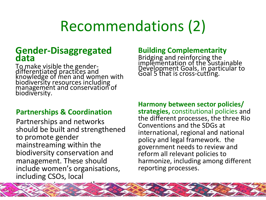# Recommendations (2)

# **Gender-Disaggregated data**

To make visible the genderdifferentiated practices and knowledge of men and women with biodiversity resources including management and conservation of biodiversity.

#### **Partnerships & Coordination**

Partnerships and networks should be built and strengthened to promote gender mainstreaming within the biodiversity conservation and management. These should include women's organisations, including CSOs, local governments among others. 

#### **Building Complementarity**

Bridging and reinforcing the implementation of the Sustainable Development Goals, in particular to Goal 5 that is cross-cutting.

**Harmony between sector policies/** strategies, constitutional policies and the different processes, the three Rio Conventions and the SDGs at international, regional and national policy and legal framework. the government needs to review and reform all relevant policies to harmonize, including among different reporting processes.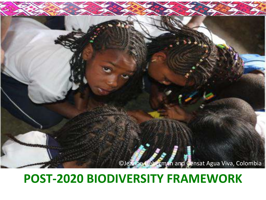

#### **POST-2020 BIODIVERSITY FRAMEWORK**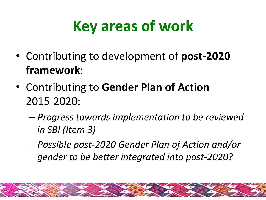# **Key areas of work**

- Contributing to development of post-2020 **framework**:
- **Contributing to Gender Plan of Action** 2015-2020:
	- $-$  *Progress towards implementation to be reviewed in SBI* (*Item 3*)
	- *Possible post-2020 Gender Plan of Action and/or gender to be better integrated into post-2020?*